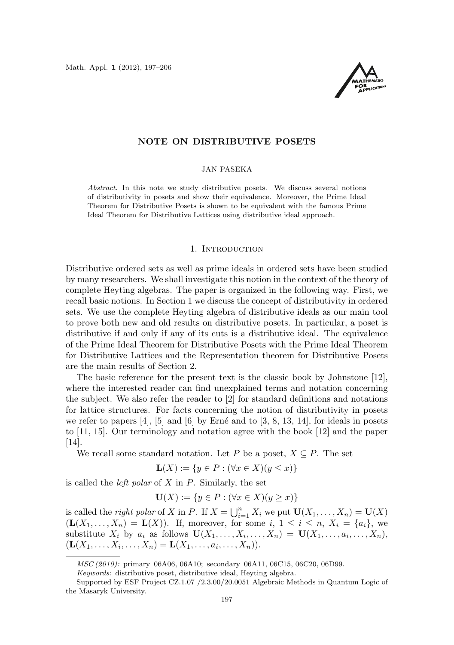Math. Appl. 1 (2012), 197–206



# NOTE ON DISTRIBUTIVE POSETS

#### JAN PASEKA

Abstract. In this note we study distributive posets. We discuss several notions of distributivity in posets and show their equivalence. Moreover, the Prime Ideal Theorem for Distributive Posets is shown to be equivalent with the famous Prime Ideal Theorem for Distributive Lattices using distributive ideal approach.

### 1. INTRODUCTION

Distributive ordered sets as well as prime ideals in ordered sets have been studied by many researchers. We shall investigate this notion in the context of the theory of complete Heyting algebras. The paper is organized in the following way. First, we recall basic notions. In Section 1 we discuss the concept of distributivity in ordered sets. We use the complete Heyting algebra of distributive ideals as our main tool to prove both new and old results on distributive posets. In particular, a poset is distributive if and only if any of its cuts is a distributive ideal. The equivalence of the Prime Ideal Theorem for Distributive Posets with the Prime Ideal Theorem for Distributive Lattices and the Representation theorem for Distributive Posets are the main results of Section 2.

The basic reference for the present text is the classic book by Johnstone [12], where the interested reader can find unexplained terms and notation concerning the subject. We also refer the reader to [2] for standard definitions and notations for lattice structures. For facts concerning the notion of distributivity in posets we refer to papers  $[4]$ ,  $[5]$  and  $[6]$  by Erné and to  $[3, 8, 13, 14]$ , for ideals in posets to [11, 15]. Our terminology and notation agree with the book [12] and the paper [14].

We recall some standard notation. Let P be a poset,  $X \subseteq P$ . The set

$$
\mathbf{L}(X) := \{ y \in P : (\forall x \in X)(y \le x) \}
$$

is called the *left polar* of  $X$  in  $P$ . Similarly, the set

$$
\mathbf{U}(X) := \{ y \in P : (\forall x \in X)(y \ge x) \}
$$

is called the *right polar* of X in P. If  $X = \bigcup_{i=1}^{n} X_i$  we put  $\mathbf{U}(X_1, \dots, X_n) = \mathbf{U}(X)$  $(\mathbf{L}(X_1,\ldots,X_n)=\mathbf{L}(X)).$  If, moreover, for some  $i, 1 \leq i \leq n$ ,  $X_i = \{a_i\}$ , we substitute  $X_i$  by  $a_i$  as follows  $\mathbf{U}(X_1,\ldots,X_i,\ldots,X_n) = \mathbf{U}(X_1,\ldots,a_i,\ldots,X_n)$ ,  $(L(X_1, ..., X_i, ..., X_n) = L(X_1, ..., a_i, ..., X_n)).$ 

MSC (2010): primary 06A06, 06A10; secondary 06A11, 06C15, 06C20, 06D99.

Keywords: distributive poset, distributive ideal, Heyting algebra.

Supported by ESF Project CZ.1.07 /2.3.00/20.0051 Algebraic Methods in Quantum Logic of the Masaryk University.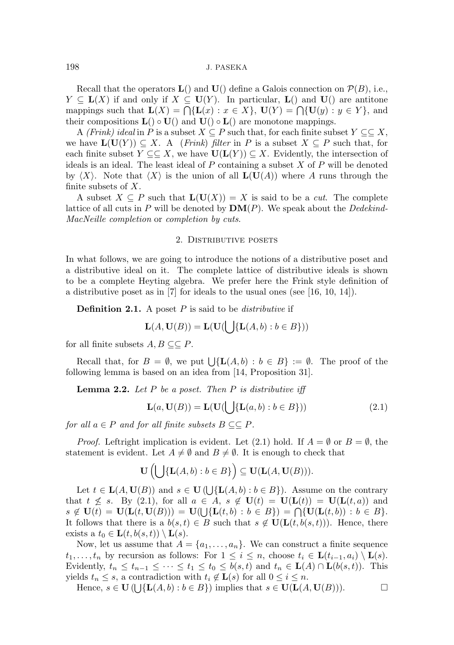Recall that the operators  $\mathbf{L}()$  and  $\mathbf{U}()$  define a Galois connection on  $\mathcal{P}(B)$ , i.e.,  $Y \subseteq L(X)$  if and only if  $X \subseteq U(Y)$ . In particular,  $L()$  and  $U()$  are antitone mappings such that  $\mathbf{L}(X) = \bigcap \{ \mathbf{L}(x) : x \in X \}, \mathbf{U}(Y) = \bigcap \{ \mathbf{U}(y) : y \in Y \},\$ and their compositions  $\mathbf{L}() \circ \mathbf{U}()$  and  $\mathbf{U}() \circ \mathbf{L}()$  are monotone mappings.

A (Frink) ideal in P is a subset  $X \subseteq P$  such that, for each finite subset  $Y \subseteq \subseteq X$ , we have  $\mathbf{L}(\mathbf{U}(Y)) \subseteq X$ . A (*Frink*) filter in P is a subset  $X \subseteq P$  such that, for each finite subset  $Y \subseteq \subseteq X$ , we have  $\mathbf{U}(\mathbf{L}(Y)) \subseteq X$ . Evidently, the intersection of ideals is an ideal. The least ideal of  $P$  containing a subset  $X$  of  $P$  will be denoted by  $\langle X \rangle$ . Note that  $\langle X \rangle$  is the union of all  $L(U(A))$  where A runs through the finite subsets of  $X$ .

A subset  $X \subseteq P$  such that  $L(U(X)) = X$  is said to be a *cut*. The complete lattice of all cuts in P will be denoted by  $\mathbf{DM}(P)$ . We speak about the Dedekind-MacNeille completion or completion by cuts.

### 2. DISTRIBUTIVE POSETS

In what follows, we are going to introduce the notions of a distributive poset and a distributive ideal on it. The complete lattice of distributive ideals is shown to be a complete Heyting algebra. We prefer here the Frink style definition of a distributive poset as in [7] for ideals to the usual ones (see [16, 10, 14]).

**Definition 2.1.** A poset  $P$  is said to be *distributive* if

$$
\mathbf{L}(A, \mathbf{U}(B)) = \mathbf{L}(\mathbf{U}(\bigcup \{\mathbf{L}(A, b) : b \in B\}))
$$

for all finite subsets  $A, B \subseteq \subseteq P$ .

Recall that, for  $B = \emptyset$ , we put  $\bigcup \{L(A, b) : b \in B\} := \emptyset$ . The proof of the following lemma is based on an idea from [14, Proposition 31].

**Lemma 2.2.** Let  $P$  be a poset. Then  $P$  is distributive iff

$$
\mathbf{L}(a, \mathbf{U}(B)) = \mathbf{L}(\mathbf{U}(\bigcup \{\mathbf{L}(a, b) : b \in B\}))
$$
\n(2.1)

for all  $a \in P$  and for all finite subsets  $B \subseteq \subseteq P$ .

*Proof.* Leftright implication is evident. Let (2.1) hold. If  $A = \emptyset$  or  $B = \emptyset$ , the statement is evident. Let  $A \neq \emptyset$  and  $B \neq \emptyset$ . It is enough to check that

$$
\mathbf{U}\left(\bigcup\{\mathbf{L}(A,b):b\in B\}\right)\subseteq\mathbf{U}(\mathbf{L}(A,\mathbf{U}(B))).
$$

Let  $t \in \mathbf{L}(A, \mathbf{U}(B))$  and  $s \in \mathbf{U}(\bigcup \{\mathbf{L}(A, b) : b \in B\})$ . Assume on the contrary that  $t \not\leq s$ . By (2.1), for all  $a \in A$ ,  $s \notin U(t) = U(L(t)) = U(L(t,a))$  and  $s \notin U(t) = U(L(t, U(B))) = U(\bigcup \{L(t,b) : b \in B\}) = \bigcap \{U(L(t,b)) : b \in B\}.$ It follows that there is a  $b(s, t) \in B$  such that  $s \notin U(L(t, b(s, t)))$ . Hence, there exists a  $t_0 \in \mathbf{L}(t, b(s,t)) \setminus \mathbf{L}(s)$ .

Now, let us assume that  $A = \{a_1, \ldots, a_n\}$ . We can construct a finite sequence  $t_1, \ldots, t_n$  by recursion as follows: For  $1 \leq i \leq n$ , choose  $t_i \in L(t_{i-1}, a_i) \setminus L(s)$ . Evidently,  $t_n \leq t_{n-1} \leq \cdots \leq t_1 \leq t_0 \leq b(s,t)$  and  $t_n \in \mathbf{L}(A) \cap \mathbf{L}(b(s,t))$ . This yields  $t_n \leq s$ , a contradiction with  $t_i \notin L(s)$  for all  $0 \leq i \leq n$ .

Hence,  $s \in U(\bigcup \{L(A,b) : b \in B\})$  implies that  $s \in U(L(A, U(B))).$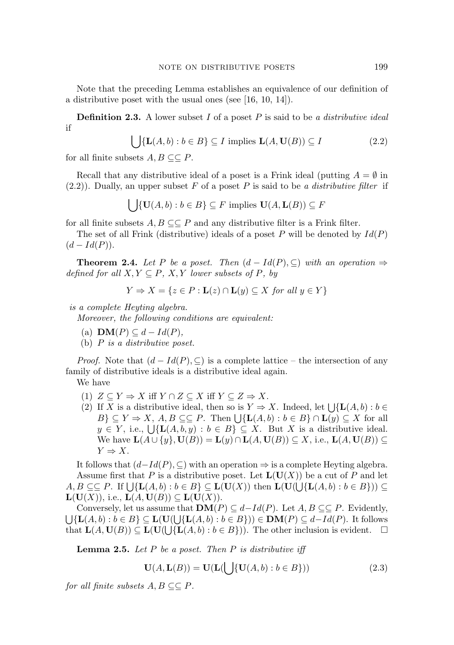Note that the preceding Lemma establishes an equivalence of our definition of a distributive poset with the usual ones (see [16, 10, 14]).

**Definition 2.3.** A lower subset I of a poset P is said to be a distributive ideal if

$$
\left\{ \left| \left\{ \mathbf{L}(A,b) : b \in B \right\} \subseteq I \right| \text{ implies } \mathbf{L}(A,\mathbf{U}(B)) \subseteq I \right\} \right\}
$$
 (2.2)

for all finite subsets  $A, B \subseteq \subseteq P$ .

Recall that any distributive ideal of a poset is a Frink ideal (putting  $A = \emptyset$  in  $(2.2)$ ). Dually, an upper subset F of a poset P is said to be a distributive filter if

$$
\bigcup \{ \mathbf{U}(A, b) : b \in B \} \subseteq F \text{ implies } \mathbf{U}(A, \mathbf{L}(B)) \subseteq F
$$

for all finite subsets  $A, B \subseteq \subseteq P$  and any distributive filter is a Frink filter.

The set of all Frink (distributive) ideals of a poset P will be denoted by  $Id(P)$  $(d - Id(P)).$ 

**Theorem 2.4.** Let P be a poset. Then  $(d - Id(P), \subseteq)$  with an operation  $\Rightarrow$ defined for all  $X, Y \subseteq P$ ,  $X, Y$  lower subsets of P, by

$$
Y \Rightarrow X = \{ z \in P : \mathbf{L}(z) \cap \mathbf{L}(y) \subseteq X \text{ for all } y \in Y \}
$$

is a complete Heyting algebra.

Moreover, the following conditions are equivalent:

- (a)  $\textbf{DM}(P) \subseteq d Id(P)$ ,
- (b) P is a distributive poset.

*Proof.* Note that  $(d - Id(P), \subseteq)$  is a complete lattice – the intersection of any family of distributive ideals is a distributive ideal again.

We have

- (1)  $Z \subseteq Y \Rightarrow X$  iff  $Y \cap Z \subseteq X$  iff  $Y \subseteq Z \Rightarrow X$ .
- (2) If X is a distributive ideal, then so is  $Y \Rightarrow X$ . Indeed, let  $\bigcup \{L(A, b) : b \in$  $B\} \subseteq Y \Rightarrow X, A, B \subseteq \subseteq P$ . Then  $\bigcup \{L(A, b) : b \in B\} \cap L(y) \subseteq X$  for all  $y \in Y$ , i.e.,  $\bigcup \{L(A, b, y) : b \in B\} \subseteq X$ . But X is a distributive ideal. We have  $\mathbf{L}(A \cup \{y\}, \mathbf{U}(B)) = \mathbf{L}(y) \cap \mathbf{L}(A, \mathbf{U}(B)) \subseteq X$ , i.e.,  $\mathbf{L}(A, \mathbf{U}(B)) \subseteq$  $Y \Rightarrow X$ .

It follows that  $(d-Id(P), \subseteq)$  with an operation  $\Rightarrow$  is a complete Heyting algebra. Assume first that P is a distributive poset. Let  $\mathbf{L}(\mathbf{U}(X))$  be a cut of P and let  $A, B \subseteq \subseteq P$ . If  $\bigcup \{L(A, b) : b \in B\} \subseteq L(U(X))$  then  $L(U(\bigcup \{L(A, b) : b \in B\})) \subseteq$  $\mathbf{L}(\mathbf{U}(X)),$  i.e.,  $\mathbf{L}(A, \mathbf{U}(B)) \subseteq \mathbf{L}(\mathbf{U}(X)).$ 

Conversely, let us assume that  $\mathbf{DM}(P) \subseteq d - Id(P)$ . Let  $A, B \subseteq \subseteq P$ . Evidently,  $\bigcup \{L(A, b) : b \in B\} \subseteq L(U(\bigcup \{L(A, b) : b \in B\})) \in DM(P) \subseteq d - Id(P)$ . It follows that  $\mathbf{L}(A, \mathbf{U}(B)) \subseteq \mathbf{L}(\mathbf{U}(\bigcup \{\mathbf{L}(A, b) : b \in B\}))$ . The other inclusion is evident.  $\Box$ 

**Lemma 2.5.** Let  $P$  be a poset. Then  $P$  is distributive iff

$$
\mathbf{U}(A, \mathbf{L}(B)) = \mathbf{U}(\mathbf{L}(\bigcup \{ \mathbf{U}(A, b) : b \in B \})) \tag{2.3}
$$

for all finite subsets  $A, B \subseteq \subseteq P$ .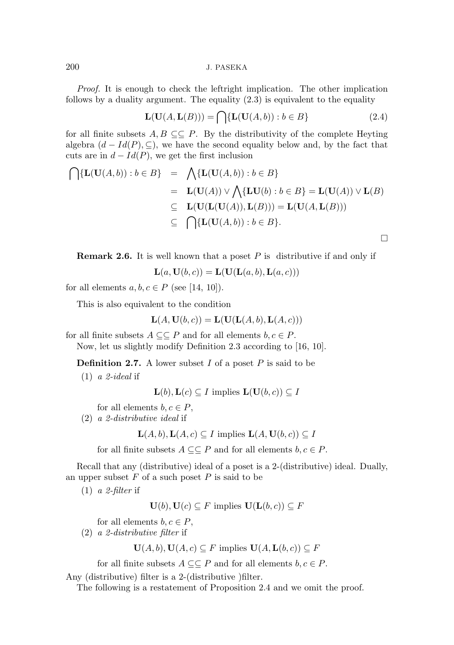## 200 J. PASEKA

*Proof.* It is enough to check the leftright implication. The other implication follows by a duality argument. The equality  $(2.3)$  is equivalent to the equality

$$
\mathbf{L}(\mathbf{U}(A,\mathbf{L}(B))) = \bigcap \{ \mathbf{L}(\mathbf{U}(A,b)) : b \in B \}
$$
\n(2.4)

for all finite subsets  $A, B \subseteq \subseteq P$ . By the distributivity of the complete Heyting algebra  $(d - Id(P), \subseteq)$ , we have the second equality below and, by the fact that cuts are in  $d - Id(P)$ , we get the first inclusion

$$
\bigcap \{ \mathbf{L}(\mathbf{U}(A,b)) : b \in B \} = \bigwedge \{ \mathbf{L}(\mathbf{U}(A,b)) : b \in B \}
$$
  
\n
$$
= \mathbf{L}(\mathbf{U}(A)) \vee \bigwedge \{ \mathbf{L} \mathbf{U}(b) : b \in B \} = \mathbf{L}(\mathbf{U}(A)) \vee \mathbf{L}(B)
$$
  
\n
$$
\subseteq \mathbf{L}(\mathbf{U}(\mathbf{L}(\mathbf{U}(A)), \mathbf{L}(B))) = \mathbf{L}(\mathbf{U}(A, \mathbf{L}(B)))
$$
  
\n
$$
\subseteq \bigcap \{ \mathbf{L}(\mathbf{U}(A,b)) : b \in B \}.
$$

**Remark 2.6.** It is well known that a poset  $P$  is distributive if and only if

$$
\mathbf{L}(a, \mathbf{U}(b, c)) = \mathbf{L}(\mathbf{U}(\mathbf{L}(a, b), \mathbf{L}(a, c)))
$$

for all elements  $a, b, c \in P$  (see [14, 10]).

This is also equivalent to the condition

$$
\mathbf{L}(A, \mathbf{U}(b, c)) = \mathbf{L}(\mathbf{U}(\mathbf{L}(A, b), \mathbf{L}(A, c)))
$$

for all finite subsets  $A \subseteq \subseteq P$  and for all elements  $b, c \in P$ .

Now, let us slightly modify Definition 2.3 according to [16, 10].

**Definition 2.7.** A lower subset  $I$  of a poset  $P$  is said to be

 $(1)$  a 2-ideal if

 $\mathbf{L}(b), \mathbf{L}(c) \subseteq I$  implies  $\mathbf{L}(\mathbf{U}(b, c)) \subseteq I$ 

for all elements  $b, c \in P$ ,

(2) a 2-distributive ideal if

$$
\mathbf{L}(A,b), \mathbf{L}(A,c) \subseteq I \text{ implies } \mathbf{L}(A,\mathbf{U}(b,c)) \subseteq I
$$

for all finite subsets  $A \subseteq \subseteq P$  and for all elements  $b, c \in P$ .

Recall that any (distributive) ideal of a poset is a 2-(distributive) ideal. Dually, an upper subset  $F$  of a such poset  $P$  is said to be

(1) a 2-filter if

 $U(b), U(c) \subseteq F$  implies  $U(L(b, c)) \subseteq F$ 

for all elements  $b, c \in P$ ,

(2) a 2-distributive filter if

 $U(A, b), U(A, c) \subseteq F$  implies  $U(A, L(b, c)) \subseteq F$ 

for all finite subsets  $A \subseteq \subseteq P$  and for all elements  $b, c \in P$ .

Any (distributive) filter is a 2-(distributive )filter.

The following is a restatement of Proposition 2.4 and we omit the proof.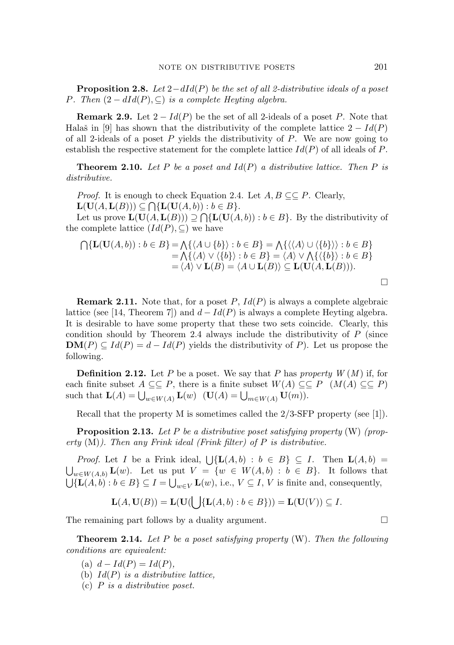**Proposition 2.8.** Let  $2-dId(P)$  be the set of all 2-distributive ideals of a poset P. Then  $(2 - dId(P), \subseteq)$  is a complete Heyting algebra.

**Remark 2.9.** Let  $2 - Id(P)$  be the set of all 2-ideals of a poset P. Note that Halaš in [9] has shown that the distributivity of the complete lattice  $2 - Id(P)$ of all 2-ideals of a poset  $P$  yields the distributivity of  $P$ . We are now going to establish the respective statement for the complete lattice  $Id(P)$  of all ideals of P.

**Theorem 2.10.** Let P be a poset and  $Id(P)$  a distributive lattice. Then P is distributive.

*Proof.* It is enough to check Equation 2.4. Let  $A, B \subseteq \subseteq P$ . Clearly,  $\mathbf{L}(\mathbf{U}(A,\mathbf{L}(B))) \subseteq \bigcap \{\mathbf{L}(\mathbf{U}(A,b)): b \in B\}.$ 

Let us prove  $\mathbf{L}(\mathbf{U}(A,\mathbf{L}(B))) \supseteq \bigcap \{\mathbf{L}(\mathbf{U}(A,b)):b\in B\}$ . By the distributivity of the complete lattice  $(Id(P), \subseteq)$  we have

$$
\bigcap \{ \mathbf{L}(\mathbf{U}(A,b)) : b \in B \} = \bigwedge \{ \langle A \cup \{b\} \rangle : b \in B \} = \bigwedge \{ \langle A \rangle \cup \langle \{b\} \rangle : b \in B \} = \bigwedge \{ \langle A \rangle \vee \langle \{b\} \rangle : b \in B \} = \langle A \rangle \vee \bigwedge \{ \langle \{b\} \rangle : b \in B \} = \langle A \rangle \vee \mathbf{L}(B) = \langle A \cup \mathbf{L}(B) \rangle \subseteq \mathbf{L}(\mathbf{U}(A, \mathbf{L}(B))).
$$

**Remark 2.11.** Note that, for a poset  $P$ ,  $Id(P)$  is always a complete algebraic lattice (see [14, Theorem 7]) and  $d - Id(P)$  is always a complete Heyting algebra. It is desirable to have some property that these two sets coincide. Clearly, this condition should by Theorem 2.4 always include the distributivity of  $P$  (since  $\mathbf{DM}(P) \subset Id(P) = d - Id(P)$  yields the distributivity of P). Let us propose the following.

**Definition 2.12.** Let P be a poset. We say that P has property  $W(M)$  if, for each finite subset  $A \subseteq \subseteq P$ , there is a finite subset  $W(A) \subseteq \subseteq P$   $(M(A) \subseteq \subseteq P)$ such that  $\mathbf{L}(A) = \bigcup_{w \in W(A)} \mathbf{L}(w)$   $(\mathbf{U}(A) = \bigcup_{m \in W(A)} \mathbf{U}(m)).$ 

Recall that the property M is sometimes called the 2/3-SFP property (see [1]).

**Proposition 2.13.** Let P be a distributive poset satisfying property  $(W)$  (property  $(M)$ ). Then any Frink ideal (Frink filter) of P is distributive.

*Proof.* Let I be a Frink ideal,  $\bigcup \{L(A, b) : b \in B\} \subseteq I$ . Then  $L(A, b) =$  $\bigcup_{w\in W(A,b)} L(w)$ . Let us put  $V = \{w \in W(A,b) : b \in B\}$ . It follows that  $\bigcup \{ \mathbf{L}(A, b) : b \in B \} \subseteq I = \bigcup_{w \in V} \mathbf{L}(w)$ , i.e.,  $V \subseteq I$ , V is finite and, consequently,

$$
\mathbf{L}(A,\mathbf{U}(B)) = \mathbf{L}(\mathbf{U}(\bigcup \{ \mathbf{L}(A,b) : b \in B \})) = \mathbf{L}(\mathbf{U}(V)) \subseteq I.
$$

The remaining part follows by a duality argument.  $\Box$ 

**Theorem 2.14.** Let P be a poset satisfying property  $(W)$ . Then the following conditions are equivalent:

- (a)  $d Id(P) = Id(P)$ ,
- (b)  $Id(P)$  is a distributive lattice,
- (c) P is a distributive poset.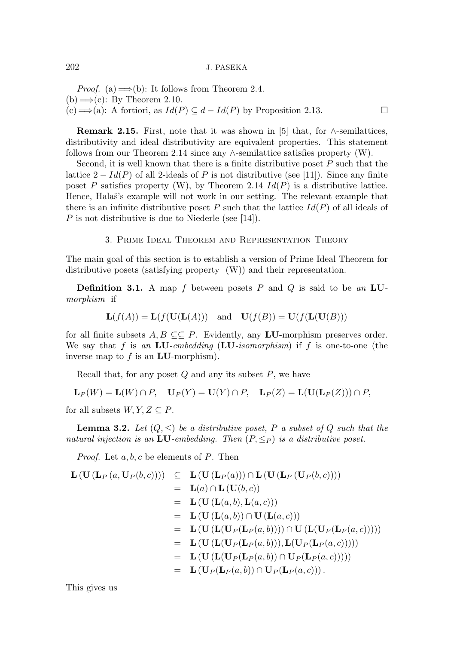*Proof.* (a)  $\Longrightarrow$  (b): It follows from Theorem 2.4.  $(b) \Longrightarrow (c)$ : By Theorem 2.10. (c) ⇒ (a): A fortiori, as  $Id(P) \subseteq d - Id(P)$  by Proposition 2.13.

**Remark 2.15.** First, note that it was shown in [5] that, for  $\wedge$ -semilattices, distributivity and ideal distributivity are equivalent properties. This statement follows from our Theorem 2.14 since any  $\wedge$ -semilattice satisfies property (W).

Second, it is well known that there is a finite distributive poset  $P$  such that the lattice  $2 - Id(P)$  of all 2-ideals of P is not distributive (see [11]). Since any finite poset P satisfies property (W), by Theorem 2.14  $Id(P)$  is a distributive lattice. Hence, Halaš's example will not work in our setting. The relevant example that there is an infinite distributive poset P such that the lattice  $Id(P)$  of all ideals of  $P$  is not distributive is due to Niederle (see [14]).

3. Prime Ideal Theorem and Representation Theory

The main goal of this section is to establish a version of Prime Ideal Theorem for distributive posets (satisfying property (W)) and their representation.

**Definition 3.1.** A map f between posets P and Q is said to be an  $LU$ morphism if

$$
\mathbf{L}(f(A)) = \mathbf{L}(f(\mathbf{U}(\mathbf{L}(A))) \text{ and } \mathbf{U}(f(B)) = \mathbf{U}(f(\mathbf{L}(\mathbf{U}(B)))
$$

for all finite subsets  $A, B \subseteq \subseteq P$ . Evidently, any **LU**-morphism preserves order. We say that f is an **LU**-embedding (**LU**-isomorphism) if f is one-to-one (the inverse map to  $f$  is an **LU**-morphism).

Recall that, for any poset  $Q$  and any its subset  $P$ , we have

$$
\mathbf{L}_P(W) = \mathbf{L}(W) \cap P, \quad \mathbf{U}_P(Y) = \mathbf{U}(Y) \cap P, \quad \mathbf{L}_P(Z) = \mathbf{L}(\mathbf{U}(\mathbf{L}_P(Z))) \cap P,
$$

for all subsets  $W, Y, Z \subseteq P$ .

**Lemma 3.2.** Let  $(Q, \leq)$  be a distributive poset, P a subset of Q such that the natural injection is an LU-embedding. Then  $(P, \leq_P)$  is a distributive poset.

*Proof.* Let  $a, b, c$  be elements of P. Then

$$
\mathbf{L}(\mathbf{U}(\mathbf{L}_P(a,\mathbf{U}_P(b,c)))) \subseteq \mathbf{L}(\mathbf{U}(\mathbf{L}_P(a))) \cap \mathbf{L}(\mathbf{U}(\mathbf{L}_P(\mathbf{U}_P(b,c))))
$$
\n
$$
= \mathbf{L}(a) \cap \mathbf{L}(\mathbf{U}(b,c))
$$
\n
$$
= \mathbf{L}(\mathbf{U}(\mathbf{L}(a,b),\mathbf{L}(a,c)))
$$
\n
$$
= \mathbf{L}(\mathbf{U}(\mathbf{L}(a,b)) \cap \mathbf{U}(\mathbf{L}(a,c)))
$$
\n
$$
= \mathbf{L}(\mathbf{U}(\mathbf{L}(\mathbf{U}_P(\mathbf{L}_P(a,b)))) \cap \mathbf{U}(\mathbf{L}(\mathbf{U}_P(\mathbf{L}_P(a,c)))) )
$$
\n
$$
= \mathbf{L}(\mathbf{U}(\mathbf{L}(\mathbf{U}_P(\mathbf{L}_P(a,b))), \mathbf{L}(\mathbf{U}_P(\mathbf{L}_P(a,c)))))
$$
\n
$$
= \mathbf{L}(\mathbf{U}(\mathbf{L}(\mathbf{U}_P(\mathbf{L}_P(a,b)) \cap \mathbf{U}_P(\mathbf{L}_P(a,c)))))
$$
\n
$$
= \mathbf{L}(\mathbf{U}_P(\mathbf{L}_P(a,b)) \cap \mathbf{U}_P(\mathbf{L}_P(a,c)))).
$$

This gives us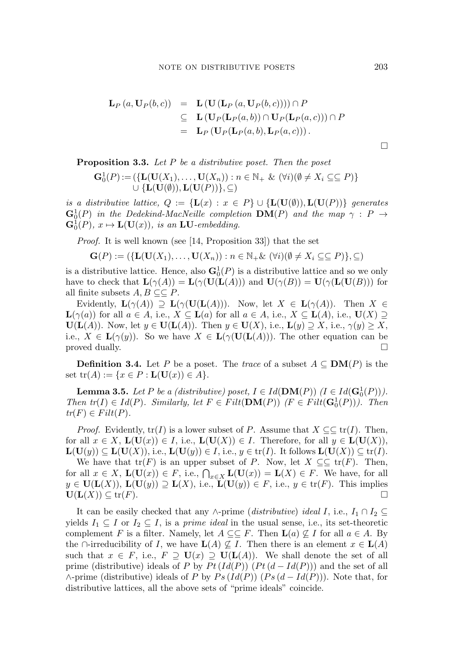$$
\mathbf{L}_P(a, \mathbf{U}_P(b, c)) = \mathbf{L}(\mathbf{U}(\mathbf{L}_P(a, \mathbf{U}_P(b, c)))) \cap P
$$
  
\n
$$
\subseteq \mathbf{L}(\mathbf{U}_P(\mathbf{L}_P(a, b)) \cap \mathbf{U}_P(\mathbf{L}_P(a, c))) \cap P
$$
  
\n
$$
= \mathbf{L}_P(\mathbf{U}_P(\mathbf{L}_P(a, b), \mathbf{L}_P(a, c))).
$$

**Proposition 3.3.** Let P be a distributive poset. Then the poset  
\n
$$
\mathbf{G}_0^1(P) := (\{\mathbf{L}(\mathbf{U}(X_1), \dots, \mathbf{U}(X_n)) : n \in \mathbb{N}_+ \& (\forall i)(\emptyset \neq X_i \subseteq \subseteq P)\} \cup \{\mathbf{L}(\mathbf{U}(\emptyset)), \mathbf{L}(\mathbf{U}(P))\}, \subseteq)
$$

is a distributive lattice,  $Q := \{L(x) : x \in P\} \cup \{L(U(\emptyset)), L(U(P))\}$  generates  $\mathbf{G}_{0}^{1}(P)$  in the Dedekind-MacNeille completion  $\mathbf{DM}(P)$  and the map  $\gamma$  :  $P \rightarrow$  $\mathbf{G}_0^1(P), x \mapsto \mathbf{L}(\mathbf{U}(x)),$  is an  $\mathbf{L}\mathbf{U}\text{-}embedding.$ 

Proof. It is well known (see [14, Proposition 33]) that the set

$$
\mathbf{G}(P) := (\{\mathbf{L}(\mathbf{U}(X_1),\ldots,\mathbf{U}(X_n)): n \in \mathbb{N}_+ \& (\forall i)(\emptyset \neq X_i \subseteq \subseteq P)\}, \subseteq)
$$

is a distributive lattice. Hence, also  $\mathbf{G}_0^1(P)$  is a distributive lattice and so we only have to check that  $\mathbf{L}(\gamma(A)) = \mathbf{L}(\gamma(\mathbf{U}(\mathbf{L}(A)))$  and  $\mathbf{U}(\gamma(B)) = \mathbf{U}(\gamma(\mathbf{L}(\mathbf{U}(B)))$  for all finite subsets  $A, B \subseteq \subseteq P$ .

Evidently,  $L(\gamma(A)) \supseteq L(\gamma(U(L(A)))$ . Now, let  $X \in L(\gamma(A))$ . Then  $X \in$  $\mathbf{L}(\gamma(a))$  for all  $a \in A$ , i.e.,  $X \subseteq \mathbf{L}(a)$  for all  $a \in A$ , i.e.,  $X \subseteq \mathbf{L}(A)$ , i.e.,  $\mathbf{U}(X) \supseteq$  $U(L(A))$ . Now, let  $y \in U(L(A))$ . Then  $y \in U(X)$ , i.e.,  $L(y) \supseteq X$ , i.e.,  $\gamma(y) \geq X$ , i.e.,  $X \in \mathbf{L}(\gamma(y))$ . So we have  $X \in \mathbf{L}(\gamma(\mathbf{U}(\mathbf{L}(A)))$ . The other equation can be proved dually.  $\Box$ 

**Definition 3.4.** Let P be a poset. The trace of a subset  $A \subseteq DM(P)$  is the set  $tr(A) := \{x \in P : L(U(x)) \in A\}.$ 

**Lemma 3.5.** Let P be a (distributive) poset,  $I \in Id(\mathbf{DM}(P))$   $(I \in Id(\mathbf{G}_0^1(P))).$ Then  $tr(I) \in Id(P)$ . Similarly, let  $F \in Filt(DM(P))$   $(F \in Filt(G_0^1(P)))$ . Then  $tr(F) \in Filt(P).$ 

*Proof.* Evidently,  $tr(I)$  is a lower subset of P. Assume that  $X \subseteq \subseteq tr(I)$ . Then, for all  $x \in X$ ,  $\mathbf{L}(\mathbf{U}(x)) \in I$ , i.e.,  $\mathbf{L}(\mathbf{U}(X)) \in I$ . Therefore, for all  $y \in \mathbf{L}(\mathbf{U}(X))$ ,  $\mathbf{L}(\mathbf{U}(y)) \subseteq \mathbf{L}(\mathbf{U}(X)),$  i.e.,  $\mathbf{L}(\mathbf{U}(y)) \in I$ , i.e.,  $y \in \text{tr}(I)$ . It follows  $\mathbf{L}(\mathbf{U}(X)) \subseteq \text{tr}(I)$ .

We have that  $tr(F)$  is an upper subset of P. Now, let  $X \subseteq \subseteq tr(F)$ . Then, for all  $x \in X$ ,  $\mathbf{L}(\mathbf{U}(x)) \in F$ , i.e.,  $\bigcap_{x \in X} \mathbf{L}(\mathbf{U}(x)) = \mathbf{L}(X) \in F$ . We have, for all  $y \in U(L(X)), L(U(y)) \supseteq L(X),$  i.e.,  $L(U(y)) \in F$ , i.e.,  $y \in tr(F)$ . This implies  $\mathbf{U}(\mathbf{L}(X)) \subseteq \mathrm{tr}(F).$ 

It can be easily checked that any ∧-prime (distributive) ideal I, i.e.,  $I_1 \cap I_2 \subseteq$ yields  $I_1 \subseteq I$  or  $I_2 \subseteq I$ , is a prime ideal in the usual sense, i.e., its set-theoretic complement F is a filter. Namely, let  $A \subseteq \subseteq F$ . Then  $\mathbf{L}(a) \not\subseteq I$  for all  $a \in A$ . By the ∩-irreducibility of I, we have  $\mathbf{L}(A) \not\subseteq I$ . Then there is an element  $x \in \mathbf{L}(A)$ such that  $x \in F$ , i.e.,  $F \supseteq U(x) \supseteq U(L(A))$ . We shall denote the set of all prime (distributive) ideals of P by  $Pt(Id(P))$  ( $Pt(d - Id(P))$ ) and the set of all  $\wedge$ -prime (distributive) ideals of P by  $Ps(Id(P))$  (Ps  $(d-Id(P))$ ). Note that, for distributive lattices, all the above sets of "prime ideals" coincide.

 $\Box$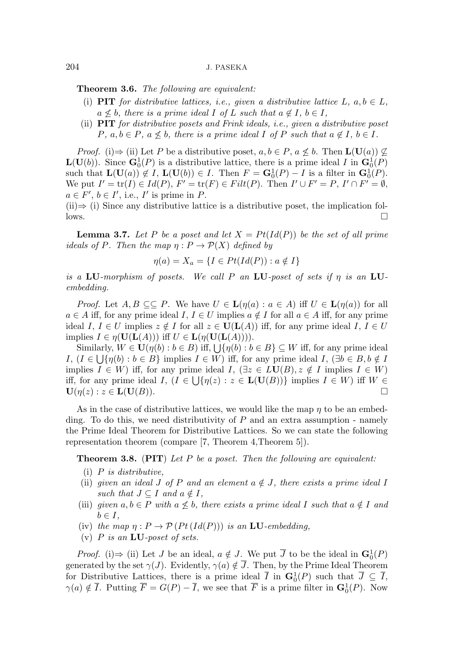## 204 J. PASEKA

Theorem 3.6. The following are equivalent:

- (i) **PIT** for distributive lattices, i.e., given a distributive lattice L,  $a, b \in L$ ,  $a \nleq b$ , there is a prime ideal I of L such that  $a \notin I$ ,  $b \in I$ ,
- (ii) PIT for distributive posets and Frink ideals, i.e., given a distributive poset  $P, a, b \in P, a \nleq b$ , there is a prime ideal I of P such that  $a \notin I, b \in I$ .

*Proof.* (i)  $\Rightarrow$  (ii) Let P be a distributive poset,  $a, b \in P$ ,  $a \nleq b$ . Then  $\mathbf{L}(\mathbf{U}(a)) \nsubseteq$  $\mathbf{L}(\mathbf{U}(b))$ . Since  $\mathbf{G}_0^1(P)$  is a distributive lattice, there is a prime ideal I in  $\mathbf{G}_0^1(P)$ such that  $\mathbf{L}(\mathbf{U}(a)) \notin I$ ,  $\mathbf{L}(\mathbf{U}(b)) \in I$ . Then  $F = \mathbf{G}_0^1(P) - I$  is a filter in  $\mathbf{G}_0^1(P)$ . We put  $I' = \text{tr}(I) \in Id(P)$ ,  $F' = \text{tr}(F) \in Filt(P)$ . Then  $I' \cup F' = P$ ,  $I' \cap F' = \emptyset$ ,  $a \in F', b \in I', i.e., I'$  is prime in P.

 $(i) \Rightarrow (i)$  Since any distributive lattice is a distributive poset, the implication fol- $\Box$ 

**Lemma 3.7.** Let P be a poset and let  $X = Pt(Id(P))$  be the set of all prime ideals of P. Then the map  $\eta : P \to \mathcal{P}(X)$  defined by

$$
\eta(a) = X_a = \{I \in Pt(Id(P)) : a \notin I\}
$$

is a LU-morphism of posets. We call P an LU-poset of sets if  $\eta$  is an LUembedding.

*Proof.* Let  $A, B \subseteq \subseteq P$ . We have  $U \in \mathbf{L}(\eta(a) : a \in A)$  iff  $U \in \mathbf{L}(\eta(a))$  for all  $a \in A$  iff, for any prime ideal  $I, I \in U$  implies  $a \notin I$  for all  $a \in A$  iff, for any prime ideal I,  $I \in U$  implies  $z \notin I$  for all  $z \in \mathbf{U}(\mathbf{L}(A))$  iff, for any prime ideal I,  $I \in U$ implies  $I \in \eta(\mathbf{U}(\mathbf{L}(A)))$  iff  $U \in \mathbf{L}(\eta(\mathbf{U}(\mathbf{L}(A))))$ .

Similarly,  $W \in \mathbf{U}(\eta(b) : b \in B)$  iff,  $\bigcup \{\eta(b) : b \in B\} \subseteq W$  iff, for any prime ideal I,  $(I \in \bigcup \{\eta(b) : b \in B\}$  implies  $I \in W$ ) iff, for any prime ideal I,  $(\exists b \in B, b \notin I)$ implies  $I \in W$ ) iff, for any prime ideal  $I, (\exists z \in LU(B), z \notin I$  implies  $I \in W$ ) iff, for any prime ideal  $I, (I \in \bigcup \{ \eta(z) : z \in L(U(B)) \}$  implies  $I \in W$ ) iff  $W \in$  $\mathbf{U}(\eta(z):z\in \mathbf{L}(\mathbf{U}(B)).$ 

As in the case of distributive lattices, we would like the map  $\eta$  to be an embedding. To do this, we need distributivity of  $P$  and an extra assumption - namely the Prime Ideal Theorem for Distributive Lattices. So we can state the following representation theorem (compare [7, Theorem 4,Theorem 5]).

**Theorem 3.8.** (PIT) Let P be a poset. Then the following are equivalent:

- $(i)$  *P is distributive,*
- (ii) given an ideal J of P and an element  $a \notin J$ , there exists a prime ideal I such that  $J \subseteq I$  and  $a \notin I$ ,
- (iii) given  $a, b \in P$  with  $a \nleq b$ , there exists a prime ideal I such that  $a \notin I$  and  $b \in I$ .
- (iv) the map  $\eta : P \to \mathcal{P} (Pt(Id(P)))$  is an **LU**-embedding,
- (v)  $P$  is an LU-poset of sets.

*Proof.* (i)  $\Rightarrow$  (ii) Let J be an ideal,  $a \notin J$ . We put  $\overline{J}$  to be the ideal in  $\mathbf{G}_0^1(P)$ generated by the set  $\gamma(J)$ . Evidently,  $\gamma(a) \notin \overline{J}$ . Then, by the Prime Ideal Theorem for Distributive Lattices, there is a prime ideal  $\overline{I}$  in  $\mathbf{G}_0^1(P)$  such that  $\overline{J} \subseteq \overline{I}$ ,  $\gamma(a) \notin \overline{I}$ . Putting  $\overline{F} = G(P) - \overline{I}$ , we see that  $\overline{F}$  is a prime filter in  $\mathbf{G}_0^1(P)$ . Now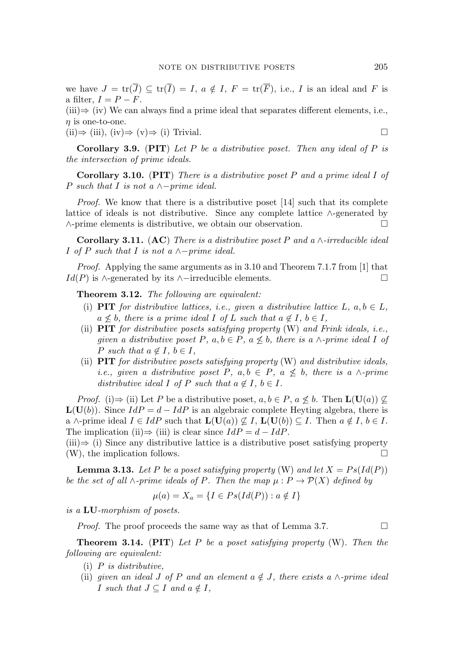we have  $J = \text{tr}(\overline{J}) \subseteq \text{tr}(\overline{I}) = I$ ,  $a \notin I$ ,  $F = \text{tr}(\overline{F})$ , i.e., I is an ideal and F is a filter,  $I = P - F$ .

 $(iii) \Rightarrow (iv)$  We can always find a prime ideal that separates different elements, i.e.,  $\eta$  is one-to-one.

 $(iii) \Rightarrow (iii), (iv) \Rightarrow (v) \Rightarrow (i)$  Trivial.  $□$ 

**Corollary 3.9.** (PIT) Let P be a distributive poset. Then any ideal of P is the intersection of prime ideals.

**Corollary 3.10.** (PIT) There is a distributive poset P and a prime ideal I of P such that I is not a  $\land$ -prime ideal.

Proof. We know that there is a distributive poset [14] such that its complete lattice of ideals is not distributive. Since any complete lattice ∧-generated by ∧-prime elements is distributive, we obtain our observation.

**Corollary 3.11.** (AC) There is a distributive poset P and a ∧-irreducible ideal I of P such that I is not a  $\land$ -prime ideal.

*Proof.* Applying the same arguments as in 3.10 and Theorem 7.1.7 from [1] that  $Id(P)$  is ∧-generated by its ∧–irreducible elements.  $\Box$ 

Theorem 3.12. The following are equivalent:

- (i) PIT for distributive lattices, i.e., given a distributive lattice L,  $a, b \in L$ ,  $a \nleq b$ , there is a prime ideal I of L such that  $a \notin I$ ,  $b \in I$ ,
- (ii)  $\textbf{PIT}$  for distributive posets satisfying property (W) and Frink ideals, i.e., given a distributive poset P,  $a, b \in P$ ,  $a \nleq b$ , there is a ∧-prime ideal I of P such that  $a \notin I, b \in I$ ,
- (ii) **PIT** for distributive posets satisfying property  $(W)$  and distributive ideals, i.e., given a distributive poset P,  $a, b \in P$ ,  $a \not\leq b$ , there is a ∧-prime distributive ideal I of P such that  $a \notin I, b \in I$ .

*Proof.* (i)  $\Rightarrow$  (ii) Let P be a distributive poset,  $a, b \in P$ ,  $a \not\leq b$ . Then  $\mathbf{L}(\mathbf{U}(a)) \not\subseteq$  $L(U(b))$ . Since  $IdP = d - IdP$  is an algebraic complete Heyting algebra, there is a ∧-prime ideal  $I \in IdP$  such that  $\mathbf{L}(\mathbf{U}(a)) \nsubseteq I$ ,  $\mathbf{L}(\mathbf{U}(b)) \subseteq I$ . Then  $a \notin I, b \in I$ . The implication (ii) $\Rightarrow$  (iii) is clear since  $IdP = d - IdP$ .

 $(iii) \Rightarrow (i)$  Since any distributive lattice is a distributive poset satisfying property (W), the implication follows.

**Lemma 3.13.** Let P be a poset satisfying property (W) and let  $X = Ps(Id(P))$ be the set of all ∧-prime ideals of P. Then the map  $\mu : P \to \mathcal{P}(X)$  defined by

$$
\mu(a) = X_a = \{I \in Ps(Id(P)) : a \notin I\}
$$

is a LU-morphism of posets.

*Proof.* The proof proceeds the same way as that of Lemma 3.7.  $\Box$ 

**Theorem 3.14.** (PIT) Let P be a poset satisfying property  $(W)$ . Then the following are equivalent:

- $(i)$  *P is distributive,*
- (ii) given an ideal J of P and an element  $a \notin J$ , there exists a  $\wedge$ -prime ideal *I* such that  $J \subseteq I$  and  $a \notin I$ ,